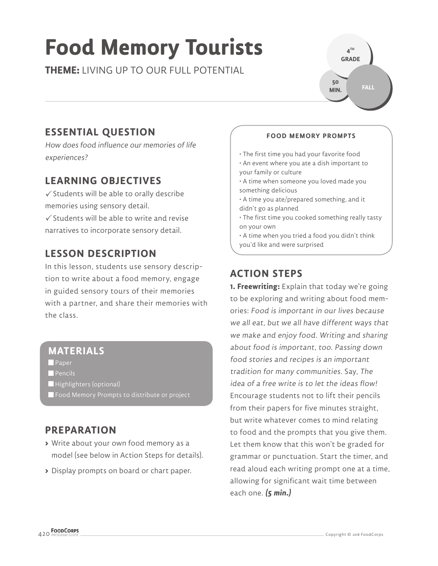# **Food Memory Tourists**

**THEME:** LIVING UP TO OUR FULL POTENTIAL

**GRADE FALL 50 MIN.**

**4 TH** 

## **ESSENTIAL QUESTION**

How does food influence our memories of life experiences?

## **LEARNING OBJECTIVES**

 $\checkmark$  Students will be able to orally describe memories using sensory detail.

 $\checkmark$  Students will be able to write and revise narratives to incorporate sensory detail.

## **LESSON DESCRIPTION**

In this lesson, students use sensory description to write about a food memory, engage in guided sensory tours of their memories with a partner, and share their memories with the class.

## **MATERIALS**

**Paper** 

- **Pencils**
- Highlighters (optional)
- **Food Memory Prompts to distribute or project**

## **PREPARATION**

- **>** Write about your own food memory as a model (see below in Action Steps for details).
- **>** Display prompts on board or chart paper.

#### **FOOD MEMORY PROMPTS**

• The first time you had your favorite food

- An event where you ate a dish important to your family or culture
- A time when someone you loved made you something delicious
- A time you ate/prepared something, and it didn't go as planned
- The first time you cooked something really tasty on your own
- A time when you tried a food you didn't think you'd like and were surprised

## **ACTION STEPS**

**1. Freewriting:** Explain that today we're going to be exploring and writing about food memories: Food is important in our lives because we all eat, but we all have different ways that we make and enjoy food. Writing and sharing about food is important, too. Passing down food stories and recipes is an important tradition for many communities. Say, The idea of a free write is to let the ideas flow! Encourage students not to lift their pencils from their papers for five minutes straight, but write whatever comes to mind relating to food and the prompts that you give them. Let them know that this won't be graded for grammar or punctuation. Start the timer, and read aloud each writing prompt one at a time, allowing for significant wait time between each one. **(5 min.)**